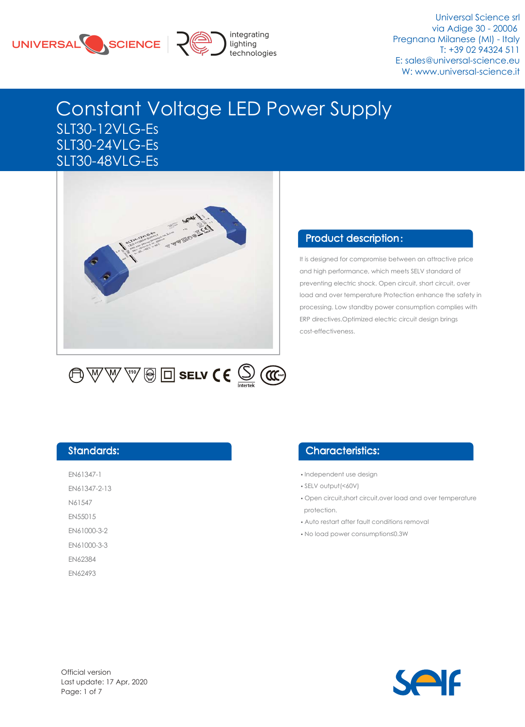



Universal Science srl via Adige 30 - 20006 Pregnana Milanese (MI) - Italy T: +39 02 94324 511 E: sales@universal-science.eu W: www.universal-science.it

# Constant Voltage LED Power Supply SLT30-12VLG-Es SLT30-24VLG-Es SLT30-48VLG-Es



### Product description:

It is designed for compromise between an attractive price and high performance, which meets SELV standard of preventing electric shock. Open circuit, short circuit, over load and over temperature Protection enhance the safety in processing. Low standby power consumption complies with ERP directives.Optimized electric circuit design brings cost-effectiveness.

#### Standards:

EN61347-1 EN61347-2-13 N61547

EN55015

EN61000-3-2

EN61000-3-3

EN62384

EN62493

### Characteristics:

- •Independent use design
- •SELV output(<60V)
- •Open circuit,short circuit,over load and over temperature protection.
- •Auto restart after fault conditions removal
- •No load power consumption≤0.3W

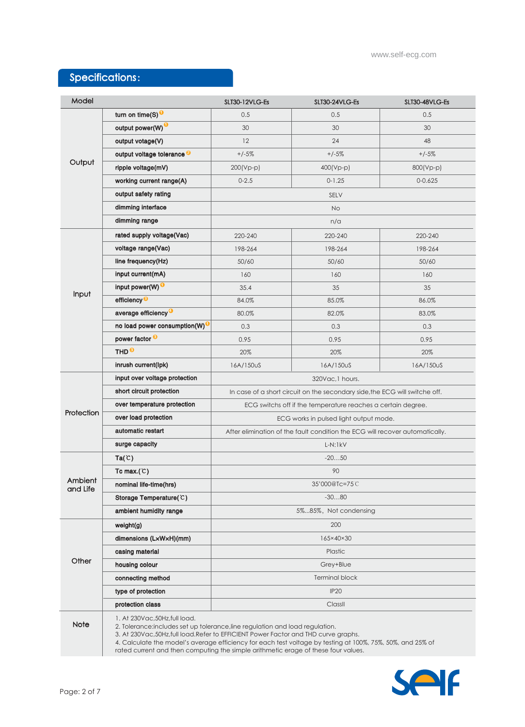## Specifications:

| Model               |                                           | SLT30-12VLG-Es                                                                                                                                                                                                                                                                                                                                                           | SLT30-24VLG-Es | SLT30-48VLG-Es |  |  |  |  |
|---------------------|-------------------------------------------|--------------------------------------------------------------------------------------------------------------------------------------------------------------------------------------------------------------------------------------------------------------------------------------------------------------------------------------------------------------------------|----------------|----------------|--|--|--|--|
|                     | turn on time(S) <sup>0</sup>              | 0.5                                                                                                                                                                                                                                                                                                                                                                      | 0.5            | 0.5            |  |  |  |  |
| Output              | output power(W) <sup>O</sup>              | 30                                                                                                                                                                                                                                                                                                                                                                       | 30             | 30             |  |  |  |  |
|                     | output votage(V)                          | 12                                                                                                                                                                                                                                                                                                                                                                       | 24             | 48             |  |  |  |  |
|                     | output voltage tolerance <sup>2</sup>     | $+/-5%$                                                                                                                                                                                                                                                                                                                                                                  | $+/-5%$        | $+/-5%$        |  |  |  |  |
|                     | ripple voltage(mV)                        | $200(Vp-p)$                                                                                                                                                                                                                                                                                                                                                              | 400(Vp-p)      | 800(Vp-p)      |  |  |  |  |
|                     | working current range(A)                  | $0 - 2.5$                                                                                                                                                                                                                                                                                                                                                                | $0 - 1.25$     | $0 - 0.625$    |  |  |  |  |
|                     | output safety rating                      | SELV                                                                                                                                                                                                                                                                                                                                                                     |                |                |  |  |  |  |
|                     | dimming interface                         | <b>No</b>                                                                                                                                                                                                                                                                                                                                                                |                |                |  |  |  |  |
|                     | dimming range                             | n/a                                                                                                                                                                                                                                                                                                                                                                      |                |                |  |  |  |  |
|                     | rated supply voltage(Vac)                 | 220-240                                                                                                                                                                                                                                                                                                                                                                  | 220-240        | 220-240        |  |  |  |  |
|                     | voltage range(Vac)                        | 198-264                                                                                                                                                                                                                                                                                                                                                                  | 198-264        | 198-264        |  |  |  |  |
|                     | line frequency(Hz)                        | 50/60                                                                                                                                                                                                                                                                                                                                                                    | 50/60          | 50/60          |  |  |  |  |
|                     | input current(mA)                         | 160                                                                                                                                                                                                                                                                                                                                                                      | 160            | 160            |  |  |  |  |
| Input               | input power(W) <sup>O</sup>               | 35.4                                                                                                                                                                                                                                                                                                                                                                     | 35             | 35             |  |  |  |  |
|                     | efficiency <sup>®</sup>                   | 84.0%                                                                                                                                                                                                                                                                                                                                                                    | 85.0%          | 86.0%          |  |  |  |  |
|                     | average efficiency <sup>O</sup>           | 80.0%                                                                                                                                                                                                                                                                                                                                                                    | 82.0%          | 83.0%          |  |  |  |  |
|                     | no load power consumption(W) <sup>0</sup> | 0.3                                                                                                                                                                                                                                                                                                                                                                      | 0.3            | 0.3            |  |  |  |  |
|                     | power factor <sup>®</sup>                 | 0.95                                                                                                                                                                                                                                                                                                                                                                     | 0.95           | 0.95           |  |  |  |  |
|                     | THD <sup>®</sup>                          | 20%                                                                                                                                                                                                                                                                                                                                                                      | 20%            | 20%            |  |  |  |  |
|                     | inrush current(lpk)                       | 16A/150uS                                                                                                                                                                                                                                                                                                                                                                | 16A/150uS      | 16A/150uS      |  |  |  |  |
|                     | input over voltage protection             | 320Vac, 1 hours.                                                                                                                                                                                                                                                                                                                                                         |                |                |  |  |  |  |
|                     | short circuit protection                  | In case of a short circuit on the secondary side, the ECG will switche off.                                                                                                                                                                                                                                                                                              |                |                |  |  |  |  |
| Protection          | over temperature protection               | ECG switchs off if the temperature reaches a certain degree.                                                                                                                                                                                                                                                                                                             |                |                |  |  |  |  |
|                     | over load protection                      | ECG works in pulsed light output mode.                                                                                                                                                                                                                                                                                                                                   |                |                |  |  |  |  |
|                     | automatic restart                         | After elimination of the fault condition the ECG will recover automatically.                                                                                                                                                                                                                                                                                             |                |                |  |  |  |  |
|                     | surge capacity                            | $L-N:1kV$                                                                                                                                                                                                                                                                                                                                                                |                |                |  |  |  |  |
|                     | Ta(C)                                     | $-2050$                                                                                                                                                                                                                                                                                                                                                                  |                |                |  |  |  |  |
|                     | Tc max. $(C)$                             | 90                                                                                                                                                                                                                                                                                                                                                                       |                |                |  |  |  |  |
| Ambient<br>and Life | nominal life-time(hrs)                    | 35'000@Tc=75C                                                                                                                                                                                                                                                                                                                                                            |                |                |  |  |  |  |
|                     | Storage Temperature(C)                    | $-3080$                                                                                                                                                                                                                                                                                                                                                                  |                |                |  |  |  |  |
|                     | ambient humidity range                    | 5%85%, Not condensing                                                                                                                                                                                                                                                                                                                                                    |                |                |  |  |  |  |
| Other               | weight(g)                                 | 200                                                                                                                                                                                                                                                                                                                                                                      |                |                |  |  |  |  |
|                     | dimensions (LxWxH)(mm)                    | 165×40×30                                                                                                                                                                                                                                                                                                                                                                |                |                |  |  |  |  |
|                     | casing material                           | Plastic                                                                                                                                                                                                                                                                                                                                                                  |                |                |  |  |  |  |
|                     | housing colour                            | Grey+Blue                                                                                                                                                                                                                                                                                                                                                                |                |                |  |  |  |  |
|                     | connecting method                         | <b>Terminal block</b>                                                                                                                                                                                                                                                                                                                                                    |                |                |  |  |  |  |
|                     | type of protection                        | <b>IP20</b>                                                                                                                                                                                                                                                                                                                                                              |                |                |  |  |  |  |
|                     | protection class                          | ClassII                                                                                                                                                                                                                                                                                                                                                                  |                |                |  |  |  |  |
| Note                | 1. At 230Vac, 50Hz, full load.            | 2. Tolerance:includes set up tolerance, line regulation and load regulation.<br>3. At 230Vac, 50Hz, full load. Refer to EFFICIENT Power Factor and THD curve graphs.<br>4. Calculate the model's average efficiency for each test voltage by testing at 100%, 75%, 50%, and 25% of<br>rated current and then computing the simple arithmetic erage of these four values. |                |                |  |  |  |  |

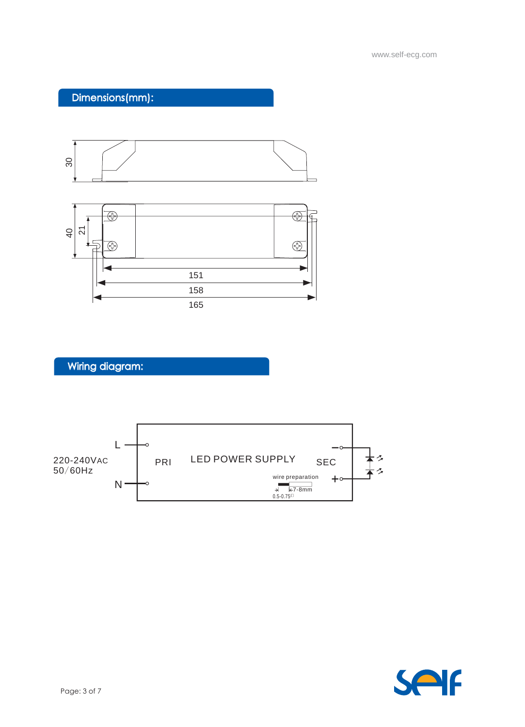

www.self-ecg.com

## Dimensions(mm):





## Wiring diagram:

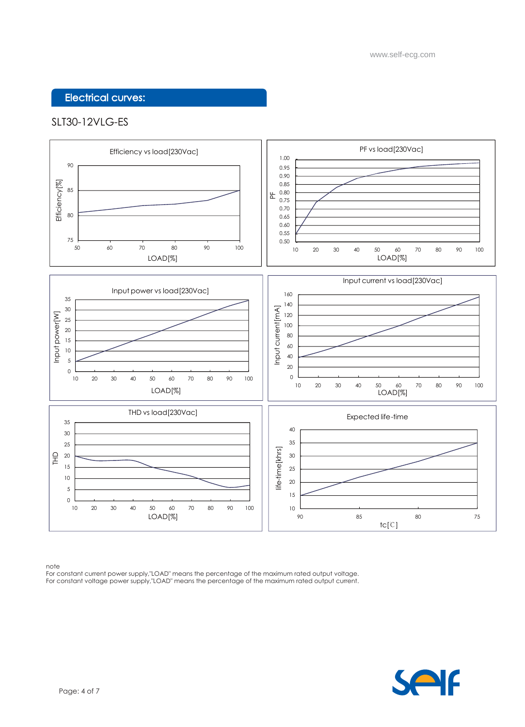### Electrical curves:

#### SLT30-12VLG-ES



note

For constant current power supply,"LOAD" means the percentage of the maximum rated output voltage. For constant voltage power supply,"LOAD" means the percentage of the maximum rated output current.

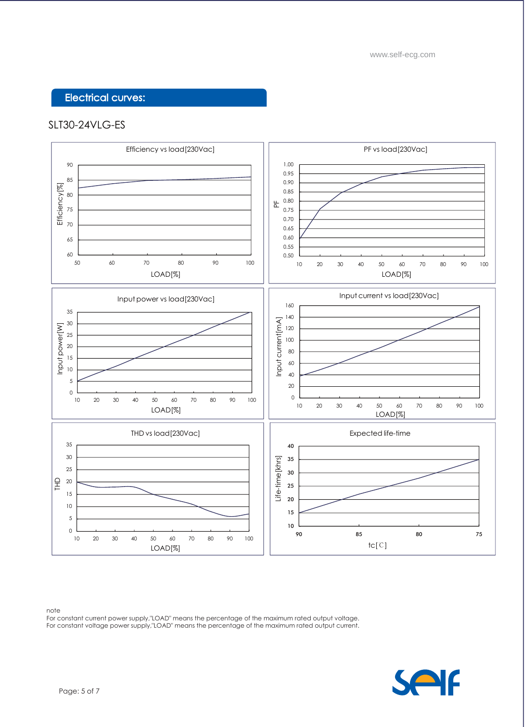### Electrical curves:

#### SLT30-24VLG-ES



note

For constant current power supply,"LOAD" means the percentage of the maximum rated output voltage. For constant voltage power supply,"LOAD" means the percentage of the maximum rated output current.

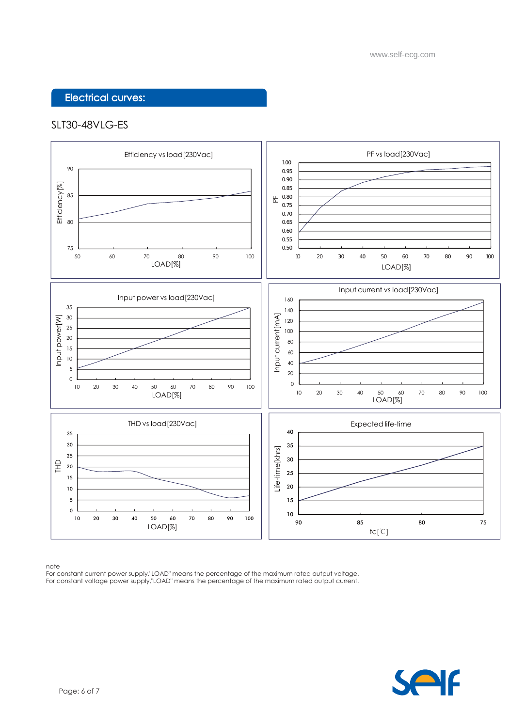### Electrical curves:

#### SLT30-48VLG-ES



note

For constant current power supply,"LOAD" means the percentage of the maximum rated output voltage. For constant voltage power supply,"LOAD" means the percentage of the maximum rated output current.